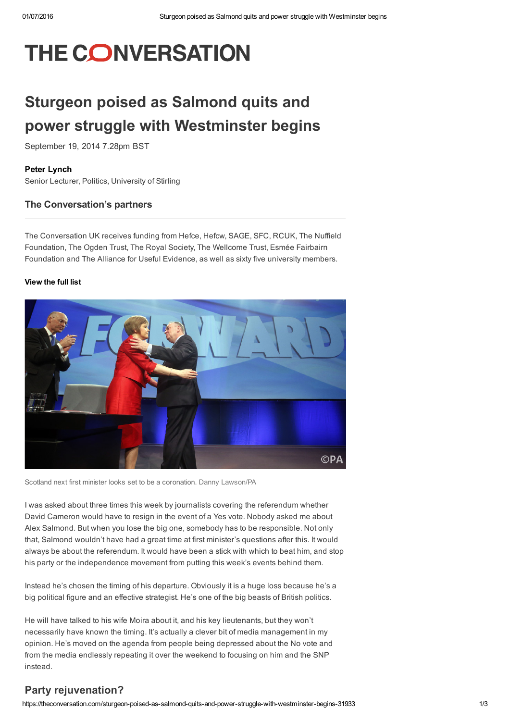# **THE CONVERSATION**

# Sturgeon poised as Salmond quits and power struggle with Westminster begins

September 19, 2014 7.28pm BST

#### Peter [Lynch](https://theconversation.com/profiles/peter-lynch-122999)

Senior Lecturer, Politics, University of Stirling

#### The Conversation's partners

The Conversation UK receives funding from Hefce, Hefcw, SAGE, SFC, RCUK, The Nuffield Foundation, The Ogden Trust, The Royal Society, The Wellcome Trust, Esmée Fairbairn Foundation and The Alliance for Useful Evidence, as well as sixty five university members.

#### [View](https://theconversation.com/uk/partners) the full list



Scotland next first minister looks set to be a coronation. Danny [Lawson/PA](http://images.pressassociation.com/meta/2.19550502.html)

I was asked about three times this week by journalists covering the referendum whether David Cameron would have to resign in the event of a Yes vote. Nobody asked me about Alex Salmond. But when you lose the big one, somebody has to be responsible. Not only that, Salmond wouldn't have had a great time at first minister's questions after this. It would always be about the referendum. It would have been a stick with which to beat him, and stop his party or the independence movement from putting this week's events behind them.

Instead he's chosen the timing of his departure. Obviously it is a huge loss because he's a big political figure and an effective strategist. He's one of the big beasts of British politics.

He will have talked to his wife Moira about it, and his key lieutenants, but they won't necessarily have known the timing. It's actually a clever bit of media management in my opinion. He's moved on the agenda from people being depressed about the No vote and from the media endlessly repeating it over the weekend to focusing on him and the SNP instead.

### Party rejuvenation?

https://theconversation.com/sturgeon-poised-as-salmond-quits-and-power-struggle-with-westminster-begins-31933 1/3